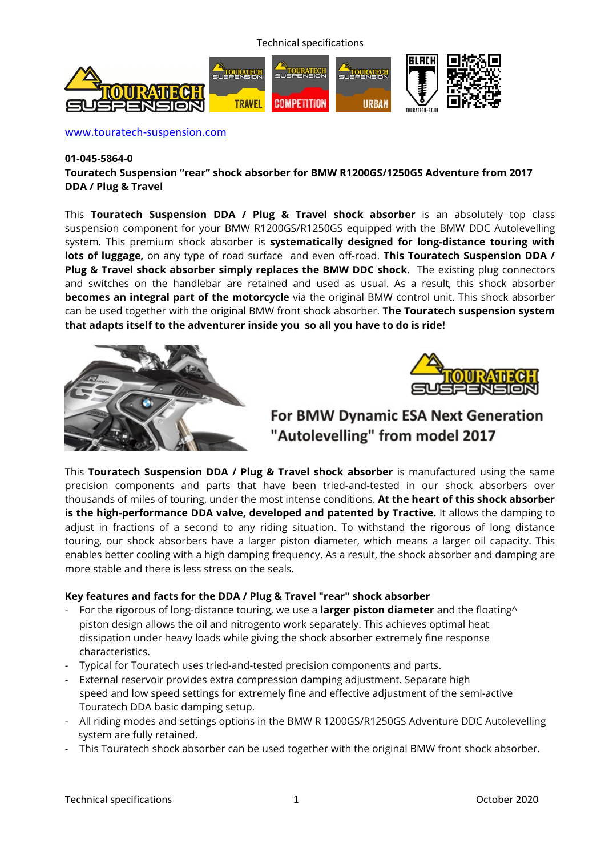Technical specifications



www.touratech-suspension.com

#### **01-045-5864-0**

**Touratech Suspension "rear" shock absorber for BMW R1200GS/1250GS Adventure from 2017 DDA / Plug & Travel** 

This **Touratech Suspension DDA / Plug & Travel shock absorber** is an absolutely top class suspension component for your BMW R1200GS/R1250GS equipped with the BMW DDC Autolevelling system. This premium shock absorber is **systematically designed for long-distance touring with lots of luggage,** on any type of road surface and even off-road. **This Touratech Suspension DDA / Plug & Travel shock absorber simply replaces the BMW DDC shock.** The existing plug connectors and switches on the handlebar are retained and used as usual. As a result, this shock absorber **becomes an integral part of the motorcycle** via the original BMW control unit. This shock absorber can be used together with the original BMW front shock absorber. **The Touratech suspension system that adapts itself to the adventurer inside you so all you have to do is ride!**





# For BMW Dynamic ESA Next Generation "Autolevelling" from model 2017

This **Touratech Suspension DDA / Plug & Travel shock absorber** is manufactured using the same precision components and parts that have been tried-and-tested in our shock absorbers over thousands of miles of touring, under the most intense conditions. **At the heart of this shock absorber is the high-performance DDA valve, developed and patented by Tractive.** It allows the damping to adjust in fractions of a second to any riding situation. To withstand the rigorous of long distance touring, our shock absorbers have a larger piston diameter, which means a larger oil capacity. This enables better cooling with a high damping frequency. As a result, the shock absorber and damping are more stable and there is less stress on the seals.

## **Key features and facts for the DDA / Plug & Travel "rear" shock absorber**

- For the rigorous of long-distance touring, we use a **larger piston diameter** and the floating^ piston design allows the oil and nitrogento work separately. This achieves optimal heat dissipation under heavy loads while giving the shock absorber extremely fine response characteristics.
- Typical for Touratech uses tried-and-tested precision components and parts.
- External reservoir provides extra compression damping adjustment. Separate high speed and low speed settings for extremely fine and effective adjustment of the semi-active Touratech DDA basic damping setup.
- All riding modes and settings options in the BMW R 1200GS/R1250GS Adventure DDC Autolevelling system are fully retained.
- This Touratech shock absorber can be used together with the original BMW front shock absorber.